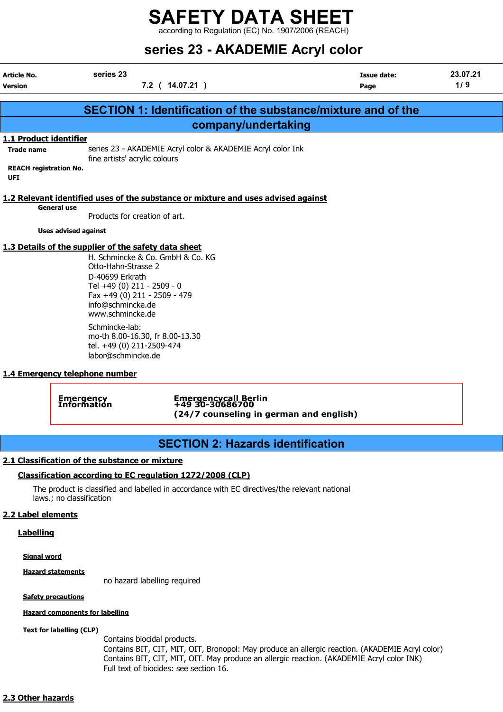according to Regulation (EC) No. 1907/2006 (REACH)

## series 23 - AKADEMIE Acryl color

| Article No.<br>Version                                                                                                                                                                     | series 23                                                                                                                                                                                                                                 | 7.2 ( 14.07.21 )                                                                   | <b>Issue date:</b><br>Page                                           | 23.07.21<br>1/9 |  |  |
|--------------------------------------------------------------------------------------------------------------------------------------------------------------------------------------------|-------------------------------------------------------------------------------------------------------------------------------------------------------------------------------------------------------------------------------------------|------------------------------------------------------------------------------------|----------------------------------------------------------------------|-----------------|--|--|
|                                                                                                                                                                                            |                                                                                                                                                                                                                                           |                                                                                    | <b>SECTION 1: Identification of the substance/mixture and of the</b> |                 |  |  |
|                                                                                                                                                                                            |                                                                                                                                                                                                                                           | company/undertaking                                                                |                                                                      |                 |  |  |
| 1.1 Product identifier<br>series 23 - AKADEMIE Acryl color & AKADEMIE Acryl color Ink<br><b>Trade name</b><br>fine artists' acrylic colours<br><b>REACH registration No.</b><br><b>UFI</b> |                                                                                                                                                                                                                                           |                                                                                    |                                                                      |                 |  |  |
| <b>General use</b>                                                                                                                                                                         | Products for creation of art.                                                                                                                                                                                                             | 1.2 Relevant identified uses of the substance or mixture and uses advised against  |                                                                      |                 |  |  |
| <b>Uses advised against</b>                                                                                                                                                                |                                                                                                                                                                                                                                           |                                                                                    |                                                                      |                 |  |  |
|                                                                                                                                                                                            | 1.3 Details of the supplier of the safety data sheet<br>H. Schmincke & Co. GmbH & Co. KG<br>Otto-Hahn-Strasse 2<br>D-40699 Erkrath<br>Tel +49 (0) 211 - 2509 - 0<br>Fax +49 (0) 211 - 2509 - 479<br>info@schmincke.de<br>www.schmincke.de |                                                                                    |                                                                      |                 |  |  |
|                                                                                                                                                                                            | Schmincke-lab:<br>mo-th 8.00-16.30, fr 8.00-13.30<br>tel. +49 (0) 211-2509-474<br>labor@schmincke.de                                                                                                                                      |                                                                                    |                                                                      |                 |  |  |
| 1.4 Emergency telephone number                                                                                                                                                             |                                                                                                                                                                                                                                           |                                                                                    |                                                                      |                 |  |  |
|                                                                                                                                                                                            | <b>Emergency</b><br>Information                                                                                                                                                                                                           | Emergencycall Berlin<br>+49 30-30686700<br>(24/7 counseling in german and english) |                                                                      |                 |  |  |

### SECTION 2: Hazards identification

#### 2.1 Classification of the substance or mixture

#### Classification according to EC regulation 1272/2008 (CLP)

The product is classified and labelled in accordance with EC directives/the relevant national laws.; no classification

#### 2.2 Label elements

#### **Labelling**

#### Signal word

#### Hazard statements

no hazard labelling required

#### **Safety precautions**

#### Hazard components for labelling

#### Text for labelling (CLP)

Contains biocidal products. Contains BIT, CIT, MIT, OIT, Bronopol: May produce an allergic reaction. (AKADEMIE Acryl color) Contains BIT, CIT, MIT, OIT. May produce an allergic reaction. (AKADEMIE Acryl color INK) Full text of biocides: see section 16.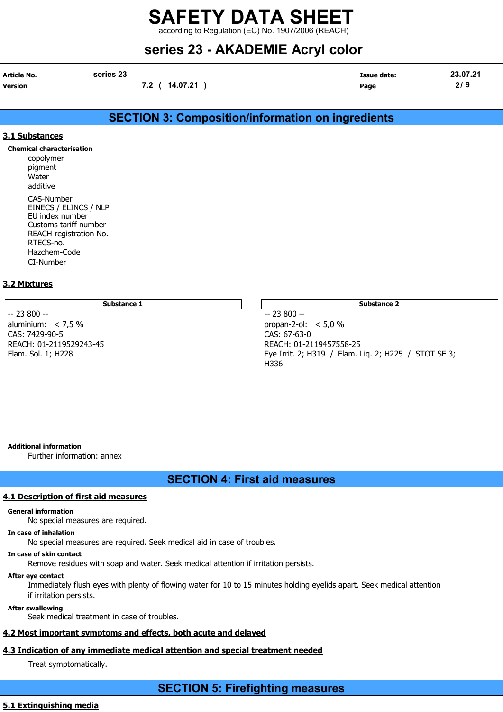according to Regulation (EC) No. 1907/2006 (REACH)

## series 23 - AKADEMIE Acryl color

| Article No.    | series 23      | <b>Issue date:</b> | 23.07.21 |
|----------------|----------------|--------------------|----------|
| <b>Version</b> | 7.2 ( 14.07.21 | Page               | 2/9      |

#### SECTION 3: Composition/information on ingredients

#### 3.1 Substances

Chemical characterisation

copolymer pigment **Water** additive CAS-Number EINECS / ELINCS / NLP EU index number Customs tariff number REACH registration No. RTECS-no. Hazchem-Code CI-Number

#### 3.2 Mixtures

Substance 1 Substance 2 Substance 2 Substance 2 Substance 2 Substance 2 Substance 2 Substance 2 Substance 2 Su

-- 23 800 -- -- 23 800 - aluminium: < 7,5 % propan-2-ol: < 5,0 % CAS: 7429-90-5 CAS: 67-63-0 REACH: 01-2119529243-45<br>
Flam. Sol. 1; H228 REACH: 01-2119457558-25

Eye Irrit. 2; H319 / Flam. Lig. 2; H225 / STOT SE 3; H336

#### Additional information

Further information: annex

#### SECTION 4: First aid measures

#### 4.1 Description of first aid measures

#### General information

No special measures are required.

#### In case of inhalation

No special measures are required. Seek medical aid in case of troubles.

#### In case of skin contact

Remove residues with soap and water. Seek medical attention if irritation persists.

#### After eye contact

Immediately flush eyes with plenty of flowing water for 10 to 15 minutes holding eyelids apart. Seek medical attention if irritation persists.

#### After swallowing

Seek medical treatment in case of troubles.

#### 4.2 Most important symptoms and effects, both acute and delayed

#### 4.3 Indication of any immediate medical attention and special treatment needed

Treat symptomatically.

#### 5.1 Extinguishing media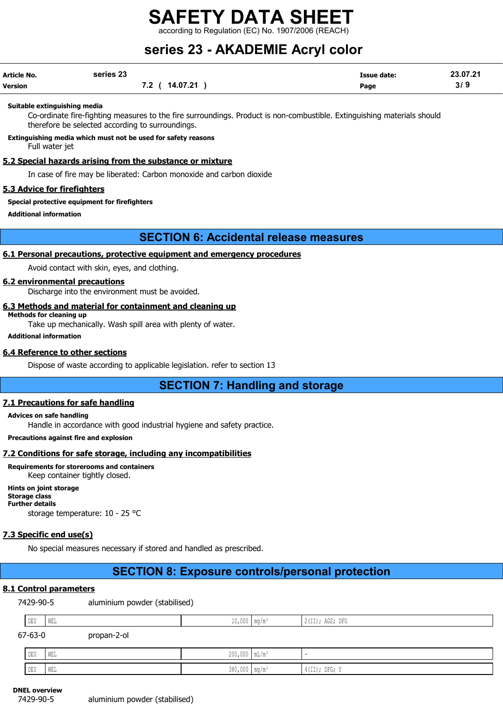according to Regulation (EC) No. 1907/2006 (REACH)

## series 23 - AKADEMIE Acryl color

| Article No. | series 23      | <b>Issue date:</b> | 23.07.21 |
|-------------|----------------|--------------------|----------|
| Version     | 7.2 ( 14.07.21 | Page               | 3/9      |

#### Suitable extinguishing media

Co-ordinate fire-fighting measures to the fire surroundings. Product is non-combustible. Extinguishing materials should therefore be selected according to surroundings.

Extinguishing media which must not be used for safety reasons

Full water jet

#### 5.2 Special hazards arising from the substance or mixture

In case of fire may be liberated: Carbon monoxide and carbon dioxide

#### 5.3 Advice for firefighters

Special protective equipment for firefighters

Additional information

#### SECTION 6: Accidental release measures

#### 6.1 Personal precautions, protective equipment and emergency procedures

Avoid contact with skin, eyes, and clothing.

#### 6.2 environmental precautions

Discharge into the environment must be avoided.

#### 6.3 Methods and material for containment and cleaning up

Methods for cleaning up

Take up mechanically. Wash spill area with plenty of water.

#### Additional information

#### 6.4 Reference to other sections

Dispose of waste according to applicable legislation. refer to section 13

SECTION 7: Handling and storage

#### 7.1 Precautions for safe handling

#### Advices on safe handling

Handle in accordance with good industrial hygiene and safety practice.

Precautions against fire and explosion

#### 7.2 Conditions for safe storage, including any incompatibilities

Requirements for storerooms and containers Keep container tightly closed.

Hints on joint storage Storage class Further details storage temperature: 10 - 25 °C

#### 7.3 Specific end use(s)

No special measures necessary if stored and handled as prescribed.

### SECTION 8: Exposure controls/personal protection

#### 8.1 Control parameters

|         | 7429-90-5 |     | aluminium powder (stabilised) |                             |                 |  |
|---------|-----------|-----|-------------------------------|-----------------------------|-----------------|--|
|         | DEU       | WEL |                               | $10,000$ mg/m <sup>3</sup>  | 2(II); AGS; DFG |  |
| 67-63-0 |           |     | propan-2-ol                   |                             |                 |  |
|         | DEU       | WEL |                               | $200,000$ mL/m <sup>3</sup> |                 |  |
|         | DEU       | WEL |                               | $380,000$ mg/m <sup>3</sup> | $4(II);$ DFG; Y |  |

DNEL overview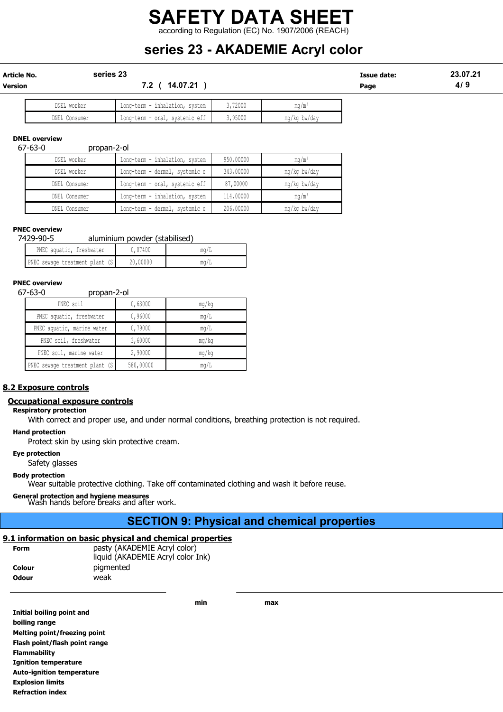### SAFETY DATA SHEET according to Regulation (EC) No. 1907/2006 (REACH)

## series 23 - AKADEMIE Acryl color

| Article No.    | series 23   |                               |       |              | Issue date: | 23.07.21 |  |
|----------------|-------------|-------------------------------|-------|--------------|-------------|----------|--|
| <b>Version</b> |             | 14.07.21<br>7.2               |       |              | Page        | 4/9      |  |
|                |             |                               |       |              |             |          |  |
|                | DNFI worker | Iona-torm - inhalation suctom | 72000 | $m \alpha/m$ |             |          |  |

| DNEL<br>worker   | inhalation,<br>Long-term -<br>svstem | .72000 | mq/m                  |
|------------------|--------------------------------------|--------|-----------------------|
| DNEL<br>Consumer | oral,<br>systemic eff<br>Long-term - | 95000  | mq/<br>bw/day<br>' ka |
|                  |                                      |        |                       |

#### DNEL overview

#### 67-63-0 propan-2-ol

| DNEL worker   | Long-term - inhalation, system |           | $m\alpha/m^3$ |
|---------------|--------------------------------|-----------|---------------|
| DNEL worker   | Long-term - dermal, systemic e | 343,00000 | mg/kg bw/day  |
| DNEL Consumer | Long-term - oral, systemic eff | 87,00000  | mg/kg bw/day  |
| DNEL Consumer | Long-term - inhalation, system | 114,00000 | $mq/m^3$      |
| DNEL Consumer | Long-term - dermal, systemic e | 206,00000 | mg/kg bw/day  |

#### PNEC overview

| 7429-90-5                       | aluminium powder (stabilised) |             |
|---------------------------------|-------------------------------|-------------|
| PNEC aquatic, freshwater        | 0,07400                       | mq/L        |
| PNEC sewage treatment plant (S) | 20,00000                      | $m\alpha/L$ |

## PNEC overview<br>67-63-0

#### 67-63-0 propan-2-ol

| יט = יישטיש                     |           |       |
|---------------------------------|-----------|-------|
| PNEC soil                       | 0,63000   | mq/kg |
| PNEC aquatic, freshwater        | 0,96000   | mq/L  |
| PNEC aquatic, marine water      | 0,79000   | mq/L  |
| PNEC soil, freshwater           | 3,60000   | mq/kg |
| PNEC soil, marine water         | 2,90000   | mq/kg |
| PNEC sewage treatment plant (S) | 580,00000 | mq/L  |

#### 8.2 Exposure controls

#### Occupational exposure controls

Respiratory protection

With correct and proper use, and under normal conditions, breathing protection is not required.

#### Hand protection

Protect skin by using skin protective cream.

#### Eye protection

Safety glasses

#### Body protection

Wear suitable protective clothing. Take off contaminated clothing and wash it before reuse.

General protection and hygiene measures Wash hands before breaks and after work.

#### SECTION 9: Physical and chemical properties

min max

#### 9.1 information on basic physical and chemical properties

| <b>Form</b>  | pasty (AKADEMIE Acryl color)      |
|--------------|-----------------------------------|
|              | liquid (AKADEMIE Acryl color Ink) |
| Colour       | pigmented                         |
| <b>Odour</b> | weak                              |

| Initial boiling point and        |
|----------------------------------|
| boiling range                    |
| Melting point/freezing point     |
| Flash point/flash point range    |
| <b>Flammability</b>              |
| <b>Ignition temperature</b>      |
| <b>Auto-ignition temperature</b> |
| <b>Explosion limits</b>          |
| <b>Refraction index</b>          |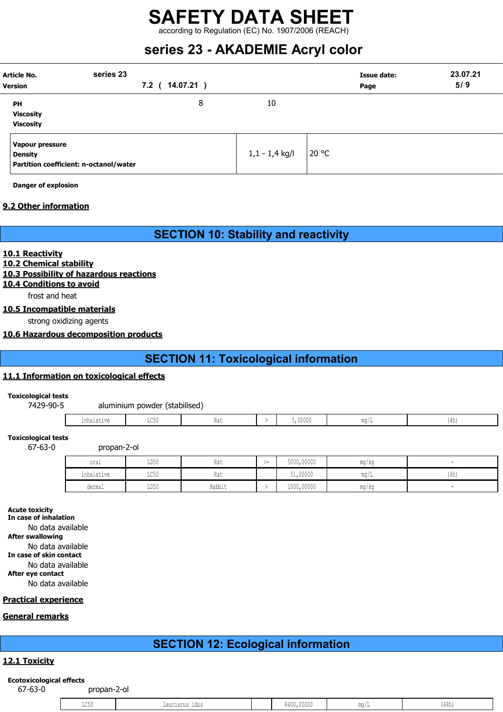according to Regulation (EC) No. 1907/2006 (REACH)

## series 23 - AKADEMIE Acryl color

| <b>Article No.</b><br><b>Version</b>                                        | series 23<br>7.2 ( 14.07.21 ) |   |                  | <b>Issue date:</b><br>Page | 23.07.21<br>5/9 |
|-----------------------------------------------------------------------------|-------------------------------|---|------------------|----------------------------|-----------------|
| PH<br><b>Viscosity</b><br><b>Viscosity</b>                                  |                               | 8 | 10               |                            |                 |
| Vapour pressure<br><b>Density</b><br>Partition coefficient: n-octanol/water |                               |   | $1,1 - 1,4$ kg/l | 20 °C                      |                 |

Danger of explosion

#### 9.2 Other information

SECTION 10: Stability and reactivity

#### 10.1 Reactivity

#### 10.2 Chemical stability

#### 10.3 Possibility of hazardous reactions

#### 10.4 Conditions to avoid

frost and heat

#### 10.5 Incompatible materials

strong oxidizing agents

#### 10.6 Hazardous decomposition products

### SECTION 11: Toxicological information

#### 11.1 Information on toxicological effects

#### Toxicological tests

#### 7429-90-5 aluminium powder (stabilised)

| $2+117$<br>. | $T \cap T$<br>╜◡◡Ⴎ | n ∼<br>nai | 00000 | $m \alpha$ .<br>⊥u∪ /<br>- | $\cdots$<br>، ۳<br>1 T.I.L |
|--------------|--------------------|------------|-------|----------------------------|----------------------------|
|              |                    |            |       |                            |                            |

#### Toxicological tests

67-63-0 propan-2-ol

| oral       | LD50 | Rat    | ╲ —<br>$\sqrt{2}$ | 5000,00000 | ma/ka | -    |
|------------|------|--------|-------------------|------------|-------|------|
| inhalative | LC50 | Rat    |                   | 51,00000   | mq/L  | (4h) |
| dermal     | LD50 | Rabbit |                   | 1000,00000 | ma/ka | -    |

#### Acute toxicity

In case of inhalation No data available After swallowing No data available In case of skin contact No data available After eye contact No data available

#### Practical experience

#### General remarks

## SECTION 12: Ecological information

#### 12.1 Toxicity

## Ecotoxicological effects<br>67-63-0

propan-2-ol

| $\sim$ $\sim$ $\sim$<br>コンマク | nennterne tane | 10,00000<br>$\cdots$<br>84U<br>. | $\frac{1}{2}$ | LI UIL |
|------------------------------|----------------|----------------------------------|---------------|--------|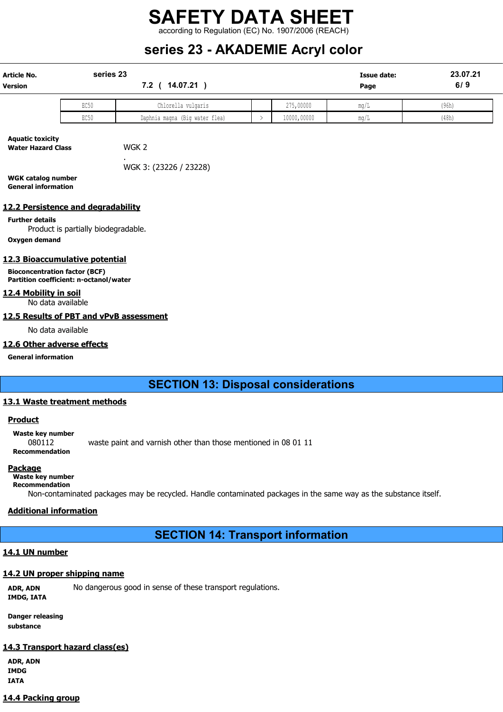according to Regulation (EC) No. 1907/2006 (REACH)

## series 23 - AKADEMIE Acryl color

| Article No.<br>Version                                                         | series 23<br>7.2 ( 14.07.21 )       |                                |               |             | 23.07.21<br>6/9 |       |
|--------------------------------------------------------------------------------|-------------------------------------|--------------------------------|---------------|-------------|-----------------|-------|
|                                                                                | EC50                                | Chlorella vulgaris             |               | 275,00000   | mq/L            | (96h) |
|                                                                                | EC50                                | Daphnia magna (Big water flea) | $\rightarrow$ | 10000,00000 | mg/L            | (48h) |
| <b>Aquatic toxicity</b><br><b>Water Hazard Class</b>                           |                                     | WGK <sub>2</sub>               |               |             |                 |       |
|                                                                                |                                     | WGK 3: (23226 / 23228)         |               |             |                 |       |
| <b>WGK catalog number</b><br><b>General information</b>                        |                                     |                                |               |             |                 |       |
| 12.2 Persistence and degradability                                             |                                     |                                |               |             |                 |       |
| <b>Further details</b><br>Oxygen demand                                        | Product is partially biodegradable. |                                |               |             |                 |       |
|                                                                                |                                     |                                |               |             |                 |       |
| 12.3 Bioaccumulative potential                                                 |                                     |                                |               |             |                 |       |
| <b>Bioconcentration factor (BCF)</b><br>Partition coefficient: n-octanol/water |                                     |                                |               |             |                 |       |
| 12.4 Mobility in soil<br>No data available                                     |                                     |                                |               |             |                 |       |
| 12.5 Results of PBT and vPvB assessment                                        |                                     |                                |               |             |                 |       |
| No data available                                                              |                                     |                                |               |             |                 |       |
| 12.6 Other adverse effects                                                     |                                     |                                |               |             |                 |       |
| <b>General information</b>                                                     |                                     |                                |               |             |                 |       |
|                                                                                |                                     |                                |               |             |                 |       |
|                                                                                |                                     |                                |               |             |                 |       |

#### SECTION 13: Disposal considerations

#### 13.1 Waste treatment methods

#### **Product**

Waste key number

080112 waste paint and varnish other than those mentioned in 08 01 11 Recommendation

#### **Package**

#### Waste key number Recommendation

Non-contaminated packages may be recycled. Handle contaminated packages in the same way as the substance itself.

#### Additional information

#### SECTION 14: Transport information

#### 14.1 UN number

#### 14.2 UN proper shipping name

ADR, ADN No dangerous good in sense of these transport regulations. IMDG, IATA

Danger releasing substance

#### 14.3 Transport hazard class(es)

ADR, ADN IMDG IATA

#### 14.4 Packing group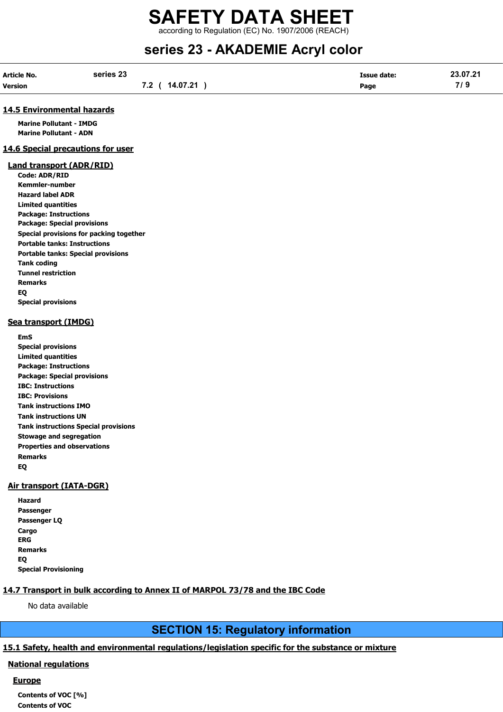according to Regulation (EC) No. 1907/2006 (REACH)

## series 23 - AKADEMIE Acryl color

| Article No.    | series 23      | <b>Issue date:</b> | 23.07.21     |
|----------------|----------------|--------------------|--------------|
| <b>Version</b> | 7.2 ( 14.07.21 | Page               | 71 O<br>77 J |

#### 14.5 Environmental hazards

Marine Pollutant - IMDG Marine Pollutant - ADN

#### 14.6 Special precautions for user

#### Land transport (ADR/RID)

Code: ADR/RID Kemmler-number Hazard label ADR Limited quantities Package: Instructions Package: Special provisions Special provisions for packing together Portable tanks: Instructions Portable tanks: Special provisions Tank coding Tunnel restriction Remarks EQ Special provisions

#### Sea transport (IMDG)

EmS Special provisions Limited quantities Package: Instructions Package: Special provisions IBC: Instructions IBC: Provisions Tank instructions IMO Tank instructions UN Tank instructions Special provisions Stowage and segregation Properties and observations Remarks EQ

#### Air transport (IATA-DGR)

| Hazard                      |
|-----------------------------|
| Passenger                   |
| Passenger LQ                |
| Cargo                       |
| ERG                         |
| <b>Remarks</b>              |
| EQ                          |
| <b>Special Provisioning</b> |

#### 14.7 Transport in bulk according to Annex II of MARPOL 73/78 and the IBC Code

No data available

#### SECTION 15: Regulatory information

#### 15.1 Safety, health and environmental regulations/legislation specific for the substance or mixture

#### National regulations

#### **Europe**

Contents of VOC [%] Contents of VOC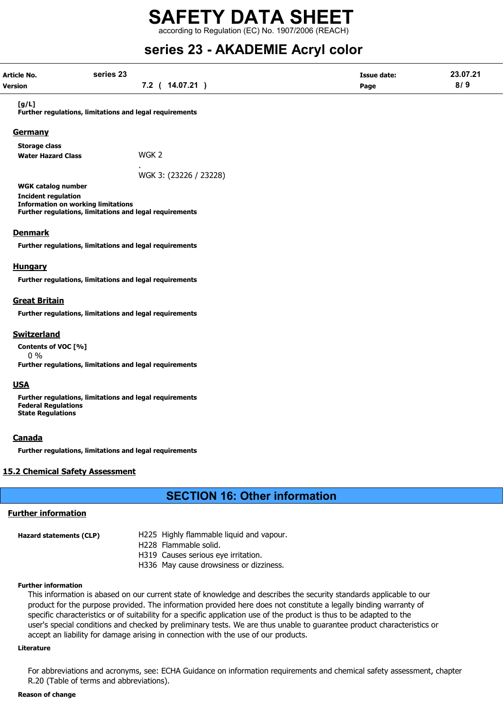# SAFETY DATA SHEET according to Regulation (EC) No. 1907/2006 (REACH)

## series 23 - AKADEMIE Acryl color

| series 23                                                                                                                                                       |                                                                                                                     |                            | 23.07.21 |
|-----------------------------------------------------------------------------------------------------------------------------------------------------------------|---------------------------------------------------------------------------------------------------------------------|----------------------------|----------|
| Article No.<br><b>Version</b>                                                                                                                                   | 7.2 ( 14.07.21 )                                                                                                    | <b>Issue date:</b><br>Page | 8/9      |
| [g/L]<br>Further regulations, limitations and legal requirements                                                                                                |                                                                                                                     |                            |          |
| <b>Germany</b>                                                                                                                                                  |                                                                                                                     |                            |          |
| <b>Storage class</b>                                                                                                                                            |                                                                                                                     |                            |          |
| <b>Water Hazard Class</b>                                                                                                                                       | WGK <sub>2</sub>                                                                                                    |                            |          |
|                                                                                                                                                                 | WGK 3: (23226 / 23228)                                                                                              |                            |          |
| <b>WGK catalog number</b><br><b>Incident regulation</b><br><b>Information on working limitations</b><br>Further regulations, limitations and legal requirements |                                                                                                                     |                            |          |
| <b>Denmark</b>                                                                                                                                                  |                                                                                                                     |                            |          |
| Further regulations, limitations and legal requirements                                                                                                         |                                                                                                                     |                            |          |
| <b>Hungary</b>                                                                                                                                                  |                                                                                                                     |                            |          |
| Further regulations, limitations and legal requirements                                                                                                         |                                                                                                                     |                            |          |
| <b>Great Britain</b>                                                                                                                                            |                                                                                                                     |                            |          |
| Further regulations, limitations and legal requirements                                                                                                         |                                                                                                                     |                            |          |
|                                                                                                                                                                 |                                                                                                                     |                            |          |
| <b>Switzerland</b>                                                                                                                                              |                                                                                                                     |                            |          |
| Contents of VOC [%]<br>$0\%$                                                                                                                                    |                                                                                                                     |                            |          |
| Further regulations, limitations and legal requirements                                                                                                         |                                                                                                                     |                            |          |
| <b>USA</b>                                                                                                                                                      |                                                                                                                     |                            |          |
| Further regulations, limitations and legal requirements<br><b>Federal Regulations</b><br><b>State Regulations</b>                                               |                                                                                                                     |                            |          |
| <b>Canada</b>                                                                                                                                                   |                                                                                                                     |                            |          |
| Further regulations, limitations and legal requirements                                                                                                         |                                                                                                                     |                            |          |
| <b>15.2 Chemical Safety Assessment</b>                                                                                                                          |                                                                                                                     |                            |          |
|                                                                                                                                                                 | <b>SECTION 16: Other information</b>                                                                                |                            |          |
| <b>Further information</b>                                                                                                                                      |                                                                                                                     |                            |          |
|                                                                                                                                                                 |                                                                                                                     |                            |          |
| <b>Hazard statements (CLP)</b>                                                                                                                                  | H225 Highly flammable liquid and vapour.<br>H228 Flammable solid.                                                   |                            |          |
|                                                                                                                                                                 | H319 Causes serious eye irritation.                                                                                 |                            |          |
|                                                                                                                                                                 | H336 May cause drowsiness or dizziness.                                                                             |                            |          |
|                                                                                                                                                                 |                                                                                                                     |                            |          |
| <b>Further information</b>                                                                                                                                      |                                                                                                                     |                            |          |
|                                                                                                                                                                 | This information is abased on our current state of knowledge and describes the security standards applicable to our |                            |          |
|                                                                                                                                                                 | product for the purpose provided. The information provided here does not constitute a legally binding warranty of   |                            |          |

product for the purpose provided. The information provided here does not constitute a legally binding warranty of specific characteristics or of suitability for a specific application use of the product is thus to be adapted to the user's special conditions and checked by preliminary tests. We are thus unable to guarantee product characteristics or accept an liability for damage arising in connection with the use of our products.

#### Literature

For abbreviations and acronyms, see: ECHA Guidance on information requirements and chemical safety assessment, chapter R.20 (Table of terms and abbreviations).

#### Reason of change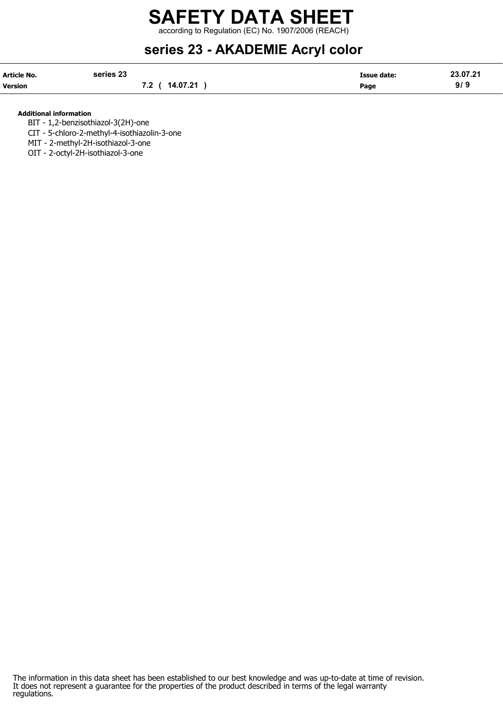# SAFETY DATA SHEET according to Regulation (EC) No. 1907/2006 (REACH)

## series 23 - AKADEMIE Acryl color

| Article No. | series 23      | <b>Issue date:</b> | 23.07.21 |
|-------------|----------------|--------------------|----------|
| Version     | 7.2 ( 14.07.21 | Page               | 9/9      |

#### Additional information

BIT - 1,2-benzisothiazol-3(2H)-one

CIT - 5-chloro-2-methyl-4-isothiazolin-3-one

MIT - 2-methyl-2H-isothiazol-3-one

OIT - 2-octyl-2H-isothiazol-3-one

The information in this data sheet has been established to our best knowledge and was up-to-date at time of revision. It does not represent a guarantee for the properties of the product described in terms of the legal warranty regulations.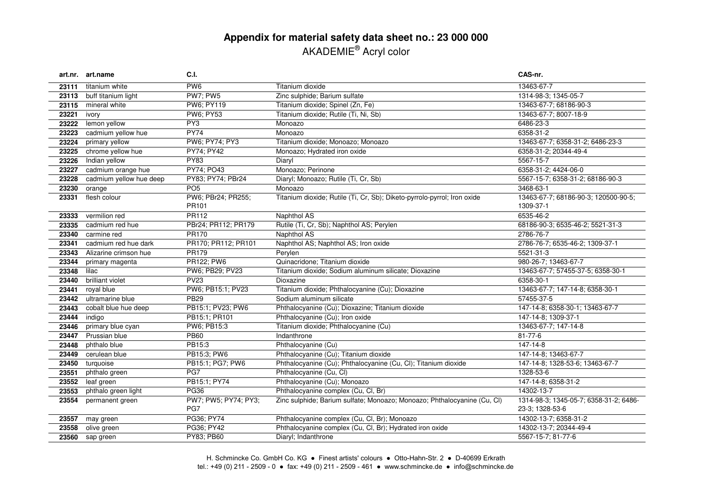### **Appendix for material safety data sheet no.: 23 000 000** AKADEMIE® Acryl color

|       | art.nr. art.name        | <b>C.I.</b>                 |                                                                          | CAS-nr.                                                   |
|-------|-------------------------|-----------------------------|--------------------------------------------------------------------------|-----------------------------------------------------------|
| 23111 | titanium white          | PW <sub>6</sub>             | Titanium dioxide                                                         | 13463-67-7                                                |
| 23113 | buff titanium light     | <b>PW7; PW5</b>             | Zinc sulphide; Barium sulfate                                            | 1314-98-3; 1345-05-7                                      |
| 23115 | mineral white           | PW6; PY119                  | Titanium dioxide; Spinel (Zn, Fe)                                        | 13463-67-7; 68186-90-3                                    |
| 23221 | ivory                   | PW6; PY53                   | Titanium dioxide; Rutile (Ti, Ni, Sb)                                    | 13463-67-7; 8007-18-9                                     |
| 23222 | lemon yellow            | PY3                         | Monoazo                                                                  | 6486-23-3                                                 |
| 23223 | cadmium yellow hue      | <b>PY74</b>                 | Monoazo                                                                  | 6358-31-2                                                 |
| 23224 | primary yellow          | PW6; PY74; PY3              | Titanium dioxide; Monoazo; Monoazo                                       | 13463-67-7; 6358-31-2; 6486-23-3                          |
| 23225 | chrome yellow hue       | PY74; PY42                  | Monoazo; Hydrated iron oxide                                             | 6358-31-2; 20344-49-4                                     |
| 23226 | Indian yellow           | <b>PY83</b>                 | Diaryl                                                                   | 5567-15-7                                                 |
| 23227 | cadmium orange hue      | PY74; PO43                  | Monoazo; Perinone                                                        | 6358-31-2; 4424-06-0                                      |
| 23228 | cadmium yellow hue deep | PY83; PY74; PBr24           | Diaryl; Monoazo; Rutile (Ti, Cr, Sb)                                     | 5567-15-7; 6358-31-2; 68186-90-3                          |
| 23230 | orange                  | PO <sub>5</sub>             | Monoazo                                                                  | 3468-63-1                                                 |
| 23331 | flesh colour            | PW6; PBr24; PR255;          | Titanium dioxide; Rutile (Ti, Cr, Sb); Diketo-pyrrolo-pyrrol; Iron oxide | 13463-67-7; 68186-90-3; 120500-90-5;                      |
|       |                         | PR <sub>101</sub>           |                                                                          | 1309-37-1                                                 |
| 23333 | vermilion red           | PR112                       | Naphthol AS                                                              | 6535-46-2                                                 |
| 23335 | cadmium red hue         | PBr24; PR112; PR179         | Rutile (Ti, Cr, Sb); Naphthol AS; Perylen                                | 68186-90-3; 6535-46-2; 5521-31-3                          |
| 23340 | carmine red             | PR170                       | Naphthol AS                                                              | 2786-76-7                                                 |
| 23341 | cadmium red hue dark    | PR170; PR112; PR101         | Naphthol AS; Naphthol AS; Iron oxide                                     | 2786-76-7; 6535-46-2; 1309-37-1                           |
| 23343 | Alizarine crimson hue   | <b>PR179</b>                | Perylen                                                                  | 5521-31-3                                                 |
| 23344 | primary magenta         | <b>PR122; PW6</b>           | Quinacridone; Titanium dioxide                                           | 980-26-7; 13463-67-7                                      |
| 23348 | lilac                   | PW6; PB29; PV23             | Titanium dioxide; Sodium aluminum silicate; Dioxazine                    | 13463-67-7; 57455-37-5; 6358-30-1                         |
| 23440 | brilliant violet        | <b>PV23</b>                 | Dioxazine                                                                | 6358-30-1                                                 |
| 23441 | royal blue              | PW6; PB15:1; PV23           | Titanium dioxide; Phthalocyanine (Cu); Dioxazine                         | 13463-67-7; 147-14-8; 6358-30-1                           |
| 23442 | ultramarine blue        | <b>PB29</b>                 | Sodium aluminum silicate                                                 | 57455-37-5                                                |
| 23443 | cobalt blue hue deep    | PB15:1; PV23; PW6           | Phthalocyanine (Cu); Dioxazine; Titanium dioxide                         | 147-14-8; 6358-30-1; 13463-67-7                           |
| 23444 | indigo                  | PB15:1; PR101               | Phthalocyanine (Cu); Iron oxide                                          | 147-14-8; 1309-37-1                                       |
| 23446 | primary blue cyan       | PW6; PB15:3                 | Titanium dioxide; Phthalocyanine (Cu)                                    | 13463-67-7; 147-14-8                                      |
| 23447 | Prussian blue           | <b>PB60</b>                 | Indanthrone                                                              | 81-77-6                                                   |
| 23448 | phthalo blue            | PB15:3                      | Phthalocyanine (Cu)                                                      | 147-14-8                                                  |
| 23449 | cerulean blue           | PB15:3; PW6                 | Phthalocyanine (Cu); Titanium dioxide                                    | 147-14-8; 13463-67-7                                      |
| 23450 | turquoise               | PB15:1; PG7; PW6            | Phthalocyanine (Cu); Phthalocyanine (Cu, Cl); Titanium dioxide           | 147-14-8; 1328-53-6; 13463-67-7                           |
| 23551 | phthalo green           | PG7                         | Phthalocyanine (Cu, Cl)                                                  | 1328-53-6                                                 |
| 23552 | leaf green              | PB15:1; PY74                | Phthalocyanine (Cu); Monoazo                                             | 147-14-8; 6358-31-2                                       |
| 23553 | phthalo green light     | <b>PG36</b>                 | Phthalocyanine complex (Cu, Cl, Br)                                      | 14302-13-7                                                |
| 23554 | permanent green         | PW7; PW5; PY74; PY3;<br>PG7 | Zinc sulphide; Barium sulfate; Monoazo; Monoazo; Phthalocyanine (Cu, Cl) | 1314-98-3; 1345-05-7; 6358-31-2; 6486-<br>23-3; 1328-53-6 |
| 23557 | may green               | PG36; PY74                  | Phthalocyanine complex (Cu, Cl, Br); Monoazo                             | 14302-13-7; 6358-31-2                                     |
| 23558 | olive green             | PG36; PY42                  | Phthalocyanine complex (Cu, Cl, Br); Hydrated iron oxide                 | 14302-13-7; 20344-49-4                                    |
| 23560 | sap green               | PY83; PB60                  | Diaryl; Indanthrone                                                      | 5567-15-7; 81-77-6                                        |
|       |                         |                             |                                                                          |                                                           |